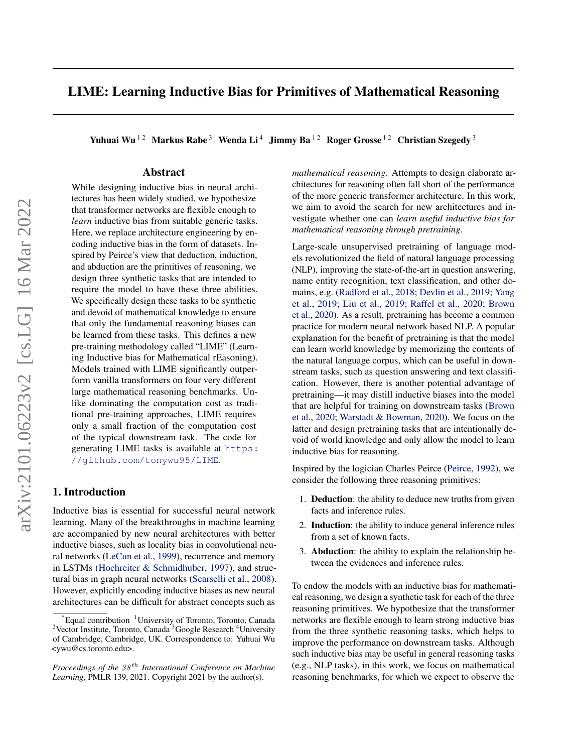# LIME: Learning Inductive Bias for Primitives of Mathematical Reasoning

Yuhuai Wu<sup>12</sup> Markus Rabe<sup>3</sup> Wenda Li<sup>4</sup> Jimmy Ba<sup>12</sup> Roger Grosse<sup>12</sup> Christian Szegedy<sup>3</sup>

## Abstract

While designing inductive bias in neural architectures has been widely studied, we hypothesize that transformer networks are flexible enough to *learn* inductive bias from suitable generic tasks. Here, we replace architecture engineering by encoding inductive bias in the form of datasets. Inspired by Peirce's view that deduction, induction, and abduction are the primitives of reasoning, we design three synthetic tasks that are intended to require the model to have these three abilities. We specifically design these tasks to be synthetic and devoid of mathematical knowledge to ensure that only the fundamental reasoning biases can be learned from these tasks. This defines a new pre-training methodology called "LIME" (Learning Inductive bias for Mathematical rEasoning). Models trained with LIME significantly outperform vanilla transformers on four very different large mathematical reasoning benchmarks. Unlike dominating the computation cost as traditional pre-training approaches, LIME requires only a small fraction of the computation cost of the typical downstream task. The code for generating LIME tasks is available at [https:](https://github.com/tonywu95/LIME) [//github.com/tonywu95/LIME](https://github.com/tonywu95/LIME).

## 1. Introduction

Inductive bias is essential for successful neural network learning. Many of the breakthroughs in machine learning are accompanied by new neural architectures with better inductive biases, such as locality bias in convolutional neural networks [\(LeCun et al.,](#page-9-0) [1999\)](#page-9-0), recurrence and memory in LSTMs [\(Hochreiter & Schmidhuber,](#page-9-0) [1997\)](#page-9-0), and structural bias in graph neural networks [\(Scarselli et al.,](#page-10-0) [2008\)](#page-10-0). However, explicitly encoding inductive biases as new neural architectures can be difficult for abstract concepts such as

*mathematical reasoning*. Attempts to design elaborate architectures for reasoning often fall short of the performance of the more generic transformer architecture. In this work, we aim to avoid the search for new architectures and investigate whether one can *learn useful inductive bias for mathematical reasoning through pretraining*.

Large-scale unsupervised pretraining of language models revolutionized the field of natural language processing (NLP), improving the state-of-the-art in question answering, name entity recognition, text classification, and other domains, e.g. [\(Radford et al.,](#page-10-0) [2018;](#page-10-0) [Devlin et al.,](#page-8-0) [2019;](#page-8-0) [Yang](#page-11-0) [et al.,](#page-11-0) [2019;](#page-11-0) [Liu et al.,](#page-9-0) [2019;](#page-9-0) [Raffel et al.,](#page-10-0) [2020;](#page-10-0) [Brown](#page-8-0) [et al.,](#page-8-0) [2020\)](#page-8-0). As a result, pretraining has become a common practice for modern neural network based NLP. A popular explanation for the benefit of pretraining is that the model can learn world knowledge by memorizing the contents of the natural language corpus, which can be useful in downstream tasks, such as question answering and text classification. However, there is another potential advantage of pretraining—it may distill inductive biases into the model that are helpful for training on downstream tasks [\(Brown](#page-8-0) [et al.,](#page-8-0) [2020;](#page-8-0) [Warstadt & Bowman,](#page-10-0) [2020\)](#page-10-0). We focus on the latter and design pretraining tasks that are intentionally devoid of world knowledge and only allow the model to learn inductive bias for reasoning.

Inspired by the logician Charles Peirce [\(Peirce,](#page-9-0) [1992\)](#page-9-0), we consider the following three reasoning primitives:

- 1. Deduction: the ability to deduce new truths from given facts and inference rules.
- 2. Induction: the ability to induce general inference rules from a set of known facts.
- 3. Abduction: the ability to explain the relationship between the evidences and inference rules.

To endow the models with an inductive bias for mathematical reasoning, we design a synthetic task for each of the three reasoning primitives. We hypothesize that the transformer networks are flexible enough to learn strong inductive bias from the three synthetic reasoning tasks, which helps to improve the performance on downstream tasks. Although such inductive bias may be useful in general reasoning tasks (e.g., NLP tasks), in this work, we focus on mathematical reasoning benchmarks, for which we expect to observe the

<sup>\*</sup>Equal contribution <sup>1</sup>University of Toronto, Toronto, Canada <sup>2</sup>Vector Institute, Toronto, Canada<sup>3</sup>Google Research<sup>4</sup>University of Cambridge, Cambridge, UK. Correspondence to: Yuhuai Wu <ywu@cs.toronto.edu>.

*Proceedings of the*  $38<sup>th</sup>$  *International Conference on Machine Learning*, PMLR 139, 2021. Copyright 2021 by the author(s).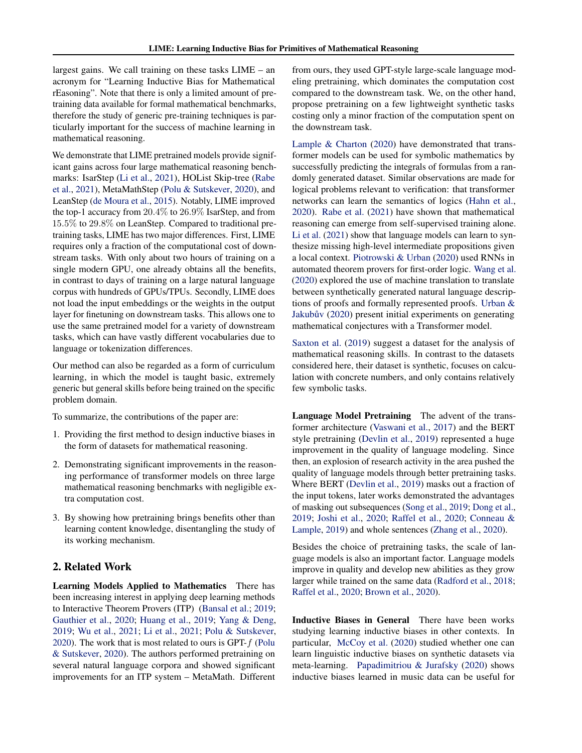largest gains. We call training on these tasks LIME – an acronym for "Learning Inductive Bias for Mathematical rEasoning". Note that there is only a limited amount of pretraining data available for formal mathematical benchmarks, therefore the study of generic pre-training techniques is particularly important for the success of machine learning in mathematical reasoning.

We demonstrate that LIME pretrained models provide significant gains across four large mathematical reasoning benchmarks: IsarStep [\(Li et al.,](#page-9-0) [2021\)](#page-9-0), HOList Skip-tree [\(Rabe](#page-10-0) [et al.,](#page-10-0) [2021\)](#page-10-0), MetaMathStep [\(Polu & Sutskever,](#page-10-0) [2020\)](#page-10-0), and LeanStep [\(de Moura et al.,](#page-8-0) [2015\)](#page-8-0). Notably, LIME improved the top-1 accuracy from 20.4% to 26.9% IsarStep, and from 15.5% to 29.8% on LeanStep. Compared to traditional pretraining tasks, LIME has two major differences. First, LIME requires only a fraction of the computational cost of downstream tasks. With only about two hours of training on a single modern GPU, one already obtains all the benefits, in contrast to days of training on a large natural language corpus with hundreds of GPUs/TPUs. Secondly, LIME does not load the input embeddings or the weights in the output layer for finetuning on downstream tasks. This allows one to use the same pretrained model for a variety of downstream tasks, which can have vastly different vocabularies due to language or tokenization differences.

Our method can also be regarded as a form of curriculum learning, in which the model is taught basic, extremely generic but general skills before being trained on the specific problem domain.

To summarize, the contributions of the paper are:

- 1. Providing the first method to design inductive biases in the form of datasets for mathematical reasoning.
- 2. Demonstrating significant improvements in the reasoning performance of transformer models on three large mathematical reasoning benchmarks with negligible extra computation cost.
- 3. By showing how pretraining brings benefits other than learning content knowledge, disentangling the study of its working mechanism.

## 2. Related Work

Learning Models Applied to Mathematics There has been increasing interest in applying deep learning methods to Interactive Theorem Provers (ITP) [\(Bansal et al.;](#page-8-0) [2019;](#page-8-0) [Gauthier et al.,](#page-8-0) [2020;](#page-8-0) [Huang et al.,](#page-9-0) [2019;](#page-9-0) [Yang & Deng,](#page-11-0) [2019;](#page-11-0) [Wu et al.,](#page-10-0) [2021;](#page-10-0) [Li et al.,](#page-9-0) [2021;](#page-9-0) [Polu & Sutskever,](#page-10-0) [2020\)](#page-10-0). The work that is most related to ours is GPT- $f$  [\(Polu](#page-10-0) [& Sutskever,](#page-10-0) [2020\)](#page-10-0). The authors performed pretraining on several natural language corpora and showed significant improvements for an ITP system – MetaMath. Different

from ours, they used GPT-style large-scale language modeling pretraining, which dominates the computation cost compared to the downstream task. We, on the other hand, propose pretraining on a few lightweight synthetic tasks costing only a minor fraction of the computation spent on the downstream task.

[Lample & Charton](#page-9-0) [\(2020\)](#page-9-0) have demonstrated that transformer models can be used for symbolic mathematics by successfully predicting the integrals of formulas from a randomly generated dataset. Similar observations are made for logical problems relevant to verification: that transformer networks can learn the semantics of logics [\(Hahn et al.,](#page-8-0) [2020\)](#page-8-0). [Rabe et al.](#page-10-0) [\(2021\)](#page-10-0) have shown that mathematical reasoning can emerge from self-supervised training alone. [Li et al.](#page-9-0) [\(2021\)](#page-9-0) show that language models can learn to synthesize missing high-level intermediate propositions given a local context. [Piotrowski & Urban](#page-10-0) [\(2020\)](#page-10-0) used RNNs in automated theorem provers for first-order logic. [Wang et al.](#page-10-0) [\(2020\)](#page-10-0) explored the use of machine translation to translate between synthetically generated natural language descriptions of proofs and formally represented proofs. [Urban &](#page-10-0) Jakubův [\(2020\)](#page-10-0) present initial experiments on generating mathematical conjectures with a Transformer model.

[Saxton et al.](#page-10-0) [\(2019\)](#page-10-0) suggest a dataset for the analysis of mathematical reasoning skills. In contrast to the datasets considered here, their dataset is synthetic, focuses on calculation with concrete numbers, and only contains relatively few symbolic tasks.

Language Model Pretraining The advent of the transformer architecture [\(Vaswani et al.,](#page-10-0) [2017\)](#page-10-0) and the BERT style pretraining [\(Devlin et al.,](#page-8-0) [2019\)](#page-8-0) represented a huge improvement in the quality of language modeling. Since then, an explosion of research activity in the area pushed the quality of language models through better pretraining tasks. Where BERT [\(Devlin et al.,](#page-8-0) [2019\)](#page-8-0) masks out a fraction of the input tokens, later works demonstrated the advantages of masking out subsequences [\(Song et al.,](#page-10-0) [2019;](#page-10-0) [Dong et al.,](#page-8-0) [2019;](#page-8-0) [Joshi et al.,](#page-9-0) [2020;](#page-9-0) [Raffel et al.,](#page-10-0) [2020;](#page-10-0) [Conneau &](#page-8-0) [Lample,](#page-8-0) [2019\)](#page-8-0) and whole sentences [\(Zhang et al.,](#page-11-0) [2020\)](#page-11-0).

Besides the choice of pretraining tasks, the scale of language models is also an important factor. Language models improve in quality and develop new abilities as they grow larger while trained on the same data [\(Radford et al.,](#page-10-0) [2018;](#page-10-0) [Raffel et al.,](#page-10-0) [2020;](#page-10-0) [Brown et al.,](#page-8-0) [2020\)](#page-8-0).

Inductive Biases in General There have been works studying learning inductive biases in other contexts. In particular, [McCoy et al.](#page-9-0) [\(2020\)](#page-9-0) studied whether one can learn linguistic inductive biases on synthetic datasets via meta-learning. [Papadimitriou & Jurafsky](#page-9-0) [\(2020\)](#page-9-0) shows inductive biases learned in music data can be useful for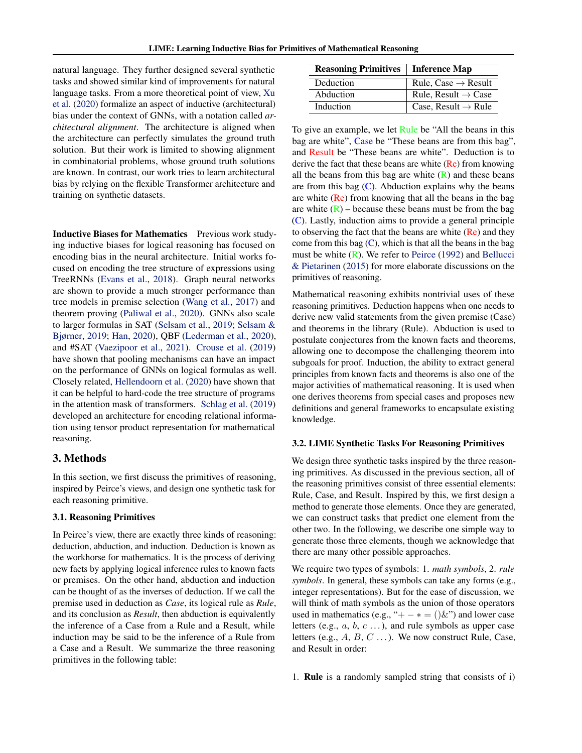natural language. They further designed several synthetic tasks and showed similar kind of improvements for natural language tasks. From a more theoretical point of view, [Xu](#page-10-0) [et al.](#page-10-0) [\(2020\)](#page-10-0) formalize an aspect of inductive (architectural) bias under the context of GNNs, with a notation called *architectural alignment*. The architecture is aligned when the architecture can perfectly simulates the ground truth solution. But their work is limited to showing alignment in combinatorial problems, whose ground truth solutions are known. In contrast, our work tries to learn architectural bias by relying on the flexible Transformer architecture and training on synthetic datasets.

Inductive Biases for Mathematics Previous work studying inductive biases for logical reasoning has focused on encoding bias in the neural architecture. Initial works focused on encoding the tree structure of expressions using TreeRNNs [\(Evans et al.,](#page-8-0) [2018\)](#page-8-0). Graph neural networks are shown to provide a much stronger performance than tree models in premise selection [\(Wang et al.,](#page-10-0) [2017\)](#page-10-0) and theorem proving [\(Paliwal et al.,](#page-9-0) [2020\)](#page-9-0). GNNs also scale to larger formulas in SAT [\(Selsam et al.,](#page-10-0) [2019;](#page-10-0) [Selsam &](#page-10-0) [Bjørner,](#page-10-0) [2019;](#page-10-0) [Han,](#page-8-0) [2020\)](#page-8-0), QBF [\(Lederman et al.,](#page-9-0) [2020\)](#page-9-0), and #SAT [\(Vaezipoor et al.,](#page-10-0) [2021\)](#page-10-0). [Crouse et al.](#page-8-0) [\(2019\)](#page-8-0) have shown that pooling mechanisms can have an impact on the performance of GNNs on logical formulas as well. Closely related, [Hellendoorn et al.](#page-9-0) [\(2020\)](#page-9-0) have shown that it can be helpful to hard-code the tree structure of programs in the attention mask of transformers. [Schlag et al.](#page-10-0) [\(2019\)](#page-10-0) developed an architecture for encoding relational information using tensor product representation for mathematical reasoning.

### 3. Methods

In this section, we first discuss the primitives of reasoning, inspired by Peirce's views, and design one synthetic task for each reasoning primitive.

#### 3.1. Reasoning Primitives

In Peirce's view, there are exactly three kinds of reasoning: deduction, abduction, and induction. Deduction is known as the workhorse for mathematics. It is the process of deriving new facts by applying logical inference rules to known facts or premises. On the other hand, abduction and induction can be thought of as the inverses of deduction. If we call the premise used in deduction as *Case*, its logical rule as *Rule*, and its conclusion as *Result*, then abduction is equivalently the inference of a Case from a Rule and a Result, while induction may be said to be the inference of a Rule from a Case and a Result. We summarize the three reasoning primitives in the following table:

| <b>Reasoning Primitives</b>   Inference Map |                                 |  |
|---------------------------------------------|---------------------------------|--|
| Deduction                                   | Rule, Case $\rightarrow$ Result |  |
| Abduction                                   | Rule, Result $\rightarrow$ Case |  |
| Induction                                   | Case, Result $\rightarrow$ Rule |  |

To give an example, we let Rule be "All the beans in this bag are white", Case be "These beans are from this bag", and Result be "These beans are white". Deduction is to derive the fact that these beans are white  $(Re)$  from knowing all the beans from this bag are white  $(R)$  and these beans are from this bag  $(C)$ . Abduction explains why the beans are white  $(Re)$  from knowing that all the beans in the bag are white  $(R)$  – because these beans must be from the bag (C). Lastly, induction aims to provide a general principle to observing the fact that the beans are white (Re) and they come from this bag  $(C)$ , which is that all the beans in the bag must be white (R). We refer to [Peirce](#page-9-0) [\(1992\)](#page-9-0) and [Bellucci](#page-8-0) [& Pietarinen](#page-8-0) [\(2015\)](#page-8-0) for more elaborate discussions on the primitives of reasoning.

Mathematical reasoning exhibits nontrivial uses of these reasoning primitives. Deduction happens when one needs to derive new valid statements from the given premise (Case) and theorems in the library (Rule). Abduction is used to postulate conjectures from the known facts and theorems, allowing one to decompose the challenging theorem into subgoals for proof. Induction, the ability to extract general principles from known facts and theorems is also one of the major activities of mathematical reasoning. It is used when one derives theorems from special cases and proposes new definitions and general frameworks to encapsulate existing knowledge.

#### 3.2. LIME Synthetic Tasks For Reasoning Primitives

We design three synthetic tasks inspired by the three reasoning primitives. As discussed in the previous section, all of the reasoning primitives consist of three essential elements: Rule, Case, and Result. Inspired by this, we first design a method to generate those elements. Once they are generated, we can construct tasks that predict one element from the other two. In the following, we describe one simple way to generate those three elements, though we acknowledge that there are many other possible approaches.

We require two types of symbols: 1. *math symbols*, 2. *rule symbols*. In general, these symbols can take any forms (e.g., integer representations). But for the ease of discussion, we will think of math symbols as the union of those operators used in mathematics (e.g., "+  $- * = () \&$ ") and lower case letters (e.g.,  $a, b, c \ldots$ ), and rule symbols as upper case letters (e.g.,  $A, B, C \ldots$ ). We now construct Rule, Case, and Result in order:

1. Rule is a randomly sampled string that consists of i)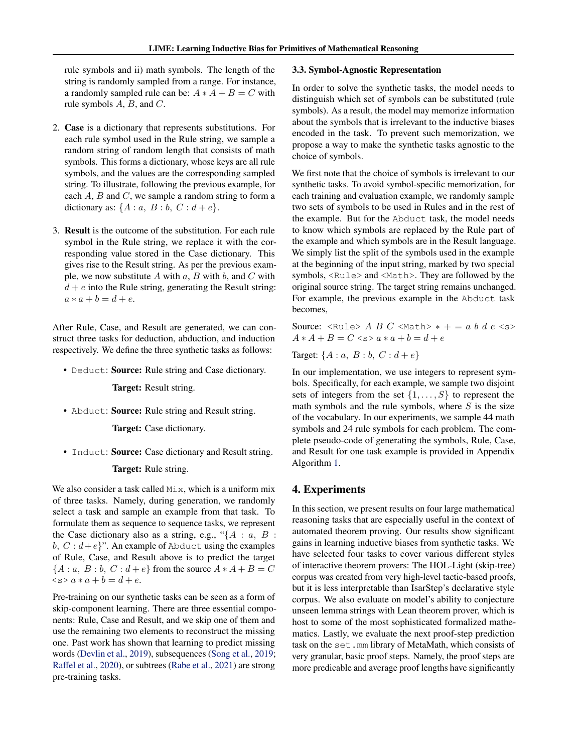rule symbols and ii) math symbols. The length of the string is randomly sampled from a range. For instance, a randomly sampled rule can be:  $A * A + B = C$  with rule symbols  $A$ ,  $B$ , and  $C$ .

- 2. Case is a dictionary that represents substitutions. For each rule symbol used in the Rule string, we sample a random string of random length that consists of math symbols. This forms a dictionary, whose keys are all rule symbols, and the values are the corresponding sampled string. To illustrate, following the previous example, for each  $A$ ,  $B$  and  $C$ , we sample a random string to form a dictionary as:  $\{A : a, B : b, C : d + e\}.$
- 3. Result is the outcome of the substitution. For each rule symbol in the Rule string, we replace it with the corresponding value stored in the Case dictionary. This gives rise to the Result string. As per the previous example, we now substitute  $A$  with  $a, B$  with  $b$ , and  $C$  with  $d + e$  into the Rule string, generating the Result string:  $a * a + b = d + e.$

After Rule, Case, and Result are generated, we can construct three tasks for deduction, abduction, and induction respectively. We define the three synthetic tasks as follows:

• Deduct: Source: Rule string and Case dictionary.

Target: Result string.

• Abduct: **Source:** Rule string and Result string.

Target: Case dictionary.

• Induct: Source: Case dictionary and Result string.

### Target: Rule string.

We also consider a task called  $Mix$ , which is a uniform mix of three tasks. Namely, during generation, we randomly select a task and sample an example from that task. To formulate them as sequence to sequence tasks, we represent the Case dictionary also as a string, e.g., " ${A : a, B :}$ b,  $C : d + e$ <sup>2</sup>. An example of Abduct using the examples of Rule, Case, and Result above is to predict the target  ${A : a, B : b, C : d + e}$  from the source  $A * A + B = C$  $\langle s \rangle a * a + b = d + e.$ 

Pre-training on our synthetic tasks can be seen as a form of skip-component learning. There are three essential components: Rule, Case and Result, and we skip one of them and use the remaining two elements to reconstruct the missing one. Past work has shown that learning to predict missing words [\(Devlin et al.,](#page-8-0) [2019\)](#page-8-0), subsequences [\(Song et al.,](#page-10-0) [2019;](#page-10-0) [Raffel et al.,](#page-10-0) [2020\)](#page-10-0), or subtrees [\(Rabe et al.,](#page-10-0) [2021\)](#page-10-0) are strong pre-training tasks.

#### 3.3. Symbol-Agnostic Representation

In order to solve the synthetic tasks, the model needs to distinguish which set of symbols can be substituted (rule symbols). As a result, the model may memorize information about the symbols that is irrelevant to the inductive biases encoded in the task. To prevent such memorization, we propose a way to make the synthetic tasks agnostic to the choice of symbols.

We first note that the choice of symbols is irrelevant to our synthetic tasks. To avoid symbol-specific memorization, for each training and evaluation example, we randomly sample two sets of symbols to be used in Rules and in the rest of the example. But for the Abduct task, the model needs to know which symbols are replaced by the Rule part of the example and which symbols are in the Result language. We simply list the split of the symbols used in the example at the beginning of the input string, marked by two special symbols, <Rule> and <Math>. They are followed by the original source string. The target string remains unchanged. For example, the previous example in the Abduct task becomes,

Source: <Rule> A B C <Math>  $* + = a b d e$  <s>  $A * A + B = C \leq a * a + b = d + e$ 

Target:  $\{A : a, B : b, C : d + e\}$ 

In our implementation, we use integers to represent symbols. Specifically, for each example, we sample two disjoint sets of integers from the set  $\{1, \ldots, S\}$  to represent the math symbols and the rule symbols, where  $S$  is the size of the vocabulary. In our experiments, we sample 44 math symbols and 24 rule symbols for each problem. The complete pseudo-code of generating the symbols, Rule, Case, and Result for one task example is provided in Appendix Algorithm [1.](#page-12-0)

### 4. Experiments

In this section, we present results on four large mathematical reasoning tasks that are especially useful in the context of automated theorem proving. Our results show significant gains in learning inductive biases from synthetic tasks. We have selected four tasks to cover various different styles of interactive theorem provers: The HOL-Light (skip-tree) corpus was created from very high-level tactic-based proofs, but it is less interpretable than IsarStep's declarative style corpus. We also evaluate on model's ability to conjecture unseen lemma strings with Lean theorem prover, which is host to some of the most sophisticated formalized mathematics. Lastly, we evaluate the next proof-step prediction task on the set.mm library of MetaMath, which consists of very granular, basic proof steps. Namely, the proof steps are more predicable and average proof lengths have significantly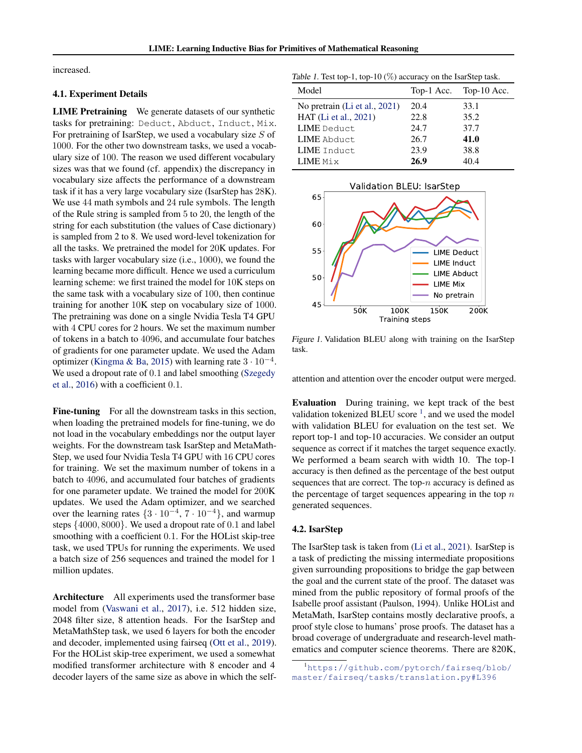<span id="page-4-0"></span>increased.

#### 4.1. Experiment Details

LIME Pretraining We generate datasets of our synthetic tasks for pretraining: Deduct, Abduct, Induct, Mix. For pretraining of IsarStep, we used a vocabulary size  $S$  of 1000. For the other two downstream tasks, we used a vocabulary size of 100. The reason we used different vocabulary sizes was that we found (cf. appendix) the discrepancy in vocabulary size affects the performance of a downstream task if it has a very large vocabulary size (IsarStep has 28K). We use 44 math symbols and 24 rule symbols. The length of the Rule string is sampled from 5 to 20, the length of the string for each substitution (the values of Case dictionary) is sampled from 2 to 8. We used word-level tokenization for all the tasks. We pretrained the model for 20K updates. For tasks with larger vocabulary size (i.e., 1000), we found the learning became more difficult. Hence we used a curriculum learning scheme: we first trained the model for 10K steps on the same task with a vocabulary size of 100, then continue training for another 10K step on vocabulary size of 1000. The pretraining was done on a single Nvidia Tesla T4 GPU with 4 CPU cores for 2 hours. We set the maximum number of tokens in a batch to 4096, and accumulate four batches of gradients for one parameter update. We used the Adam optimizer [\(Kingma & Ba,](#page-9-0) [2015\)](#page-9-0) with learning rate  $3 \cdot 10^{-4}$ . We used a dropout rate of 0.1 and label smoothing [\(Szegedy](#page-10-0) [et al.,](#page-10-0) [2016\)](#page-10-0) with a coefficient 0.1.

Fine-tuning For all the downstream tasks in this section, when loading the pretrained models for fine-tuning, we do not load in the vocabulary embeddings nor the output layer weights. For the downstream task IsarStep and MetaMath-Step, we used four Nvidia Tesla T4 GPU with 16 CPU cores for training. We set the maximum number of tokens in a batch to 4096, and accumulated four batches of gradients for one parameter update. We trained the model for 200K updates. We used the Adam optimizer, and we searched over the learning rates  $\{3 \cdot 10^{-4}, 7 \cdot 10^{-4}\}$ , and warmup steps {4000, 8000}. We used a dropout rate of 0.1 and label smoothing with a coefficient 0.1. For the HOList skip-tree task, we used TPUs for running the experiments. We used a batch size of 256 sequences and trained the model for 1 million updates.

Architecture All experiments used the transformer base model from [\(Vaswani et al.,](#page-10-0) [2017\)](#page-10-0), i.e. 512 hidden size, 2048 filter size, 8 attention heads. For the IsarStep and MetaMathStep task, we used 6 layers for both the encoder and decoder, implemented using fairseq [\(Ott et al.,](#page-9-0) [2019\)](#page-9-0). For the HOList skip-tree experiment, we used a somewhat modified transformer architecture with 8 encoder and 4 decoder layers of the same size as above in which the self-

Table 1. Test top-1, top-10 (%) accuracy on the IsarStep task.

| Model                         |      | Top-1 Acc. Top-10 Acc. |
|-------------------------------|------|------------------------|
| No pretrain (Li et al., 2021) | 20.4 | 33.1                   |
| HAT (Li et al., 2021)         | 22.8 | 35.2                   |
| LIME Deduct.                  | 24.7 | 37.7                   |
| LIME Abduct.                  | 26.7 | 41.0                   |
| LIME Induct                   | 23.9 | 38.8                   |
| LIME Mix                      | 26.9 | 404                    |



Figure 1. Validation BLEU along with training on the IsarStep task.

attention and attention over the encoder output were merged.

Evaluation During training, we kept track of the best validation tokenized BLEU score  $\frac{1}{2}$ , and we used the model with validation BLEU for evaluation on the test set. We report top-1 and top-10 accuracies. We consider an output sequence as correct if it matches the target sequence exactly. We performed a beam search with width 10. The top-1 accuracy is then defined as the percentage of the best output sequences that are correct. The top- $n$  accuracy is defined as the percentage of target sequences appearing in the top  $n$ generated sequences.

#### 4.2. IsarStep

The IsarStep task is taken from [\(Li et al.,](#page-9-0) [2021\)](#page-9-0). IsarStep is a task of predicting the missing intermediate propositions given surrounding propositions to bridge the gap between the goal and the current state of the proof. The dataset was mined from the public repository of formal proofs of the Isabelle proof assistant (Paulson, 1994). Unlike HOList and MetaMath, IsarStep contains mostly declarative proofs, a proof style close to humans' prose proofs. The dataset has a broad coverage of undergraduate and research-level mathematics and computer science theorems. There are 820K,

<sup>1</sup>[https://github.com/pytorch/fairseq/blob/](https://github.com/pytorch/fairseq/blob/master/fairseq/tasks/translation.py#L396) [master/fairseq/tasks/translation.py#L396](https://github.com/pytorch/fairseq/blob/master/fairseq/tasks/translation.py#L396)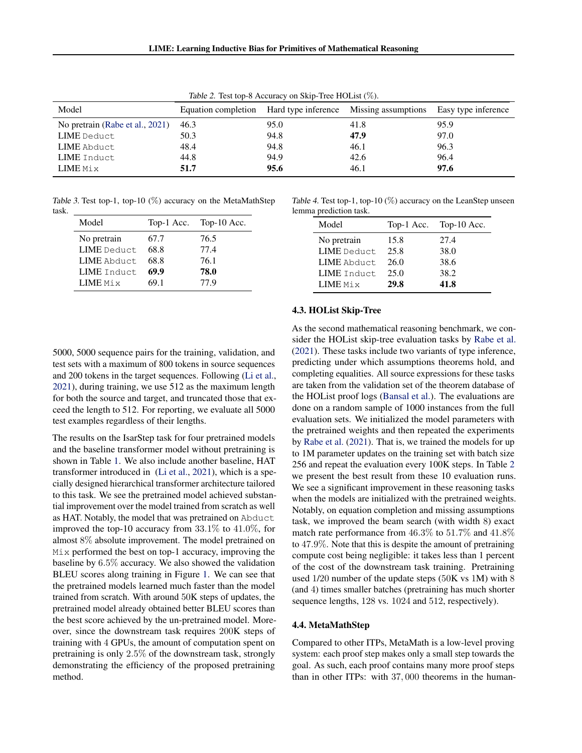<span id="page-5-0"></span>

|                                 |      | $\frac{1}{2}$ |                                                             |                     |
|---------------------------------|------|---------------|-------------------------------------------------------------|---------------------|
| Model                           |      |               | Equation completion Hard type inference Missing assumptions | Easy type inference |
| No pretrain (Rabe et al., 2021) | 46.3 | 95.0          | 41.8                                                        | 95.9                |
| LIME Deduct                     | 50.3 | 94.8          | 47.9                                                        | 97.0                |
| LIME Abduct                     | 48.4 | 94.8          | 46.1                                                        | 96.3                |
| LIME Induct                     | 44.8 | 94.9          | 42.6                                                        | 96.4                |
| LIME Mix                        | 51.7 | 95.6          | 46.1                                                        | 97.6                |

Table 2. Test top-8 Accuracy on Skip-Tree HOList (%).

Table 3. Test top-1, top-10  $(\%)$  accuracy on the MetaMathStep task.

| Model              | Top-1 Acc. | Top-10 Acc. |
|--------------------|------------|-------------|
| No pretrain        | 67.7       | 76.5        |
| <b>LIME</b> Deduct | 68.8       | 77.4        |
| LIME Abduct.       | 68.8       | 76.1        |
| <b>LIME</b> Induct | 69.9       | 78.0        |
| LIME Mix           | 69.1       | 77.9        |

5000, 5000 sequence pairs for the training, validation, and test sets with a maximum of 800 tokens in source sequences and 200 tokens in the target sequences. Following [\(Li et al.,](#page-9-0) [2021\)](#page-9-0), during training, we use 512 as the maximum length for both the source and target, and truncated those that exceed the length to 512. For reporting, we evaluate all 5000 test examples regardless of their lengths.

The results on the IsarStep task for four pretrained models and the baseline transformer model without pretraining is shown in Table [1.](#page-4-0) We also include another baseline, HAT transformer introduced in [\(Li et al.,](#page-9-0) [2021\)](#page-9-0), which is a specially designed hierarchical transformer architecture tailored to this task. We see the pretrained model achieved substantial improvement over the model trained from scratch as well as HAT. Notably, the model that was pretrained on Abduct improved the top-10 accuracy from 33.1% to 41.0%, for almost 8% absolute improvement. The model pretrained on Mix performed the best on top-1 accuracy, improving the baseline by 6.5% accuracy. We also showed the validation BLEU scores along training in Figure [1.](#page-4-0) We can see that the pretrained models learned much faster than the model trained from scratch. With around 50K steps of updates, the pretrained model already obtained better BLEU scores than the best score achieved by the un-pretrained model. Moreover, since the downstream task requires 200K steps of training with 4 GPUs, the amount of computation spent on pretraining is only 2.5% of the downstream task, strongly demonstrating the efficiency of the proposed pretraining method.

Table 4. Test top-1, top-10  $(\%)$  accuracy on the LeanStep unseen lemma prediction task.

| nna precienta ausni |  |  |  |  |
|---------------------|--|--|--|--|
| Top-10 Acc.         |  |  |  |  |
|                     |  |  |  |  |
|                     |  |  |  |  |
|                     |  |  |  |  |
|                     |  |  |  |  |
|                     |  |  |  |  |
|                     |  |  |  |  |

#### 4.3. HOList Skip-Tree

As the second mathematical reasoning benchmark, we consider the HOList skip-tree evaluation tasks by [Rabe et al.](#page-10-0) [\(2021\)](#page-10-0). These tasks include two variants of type inference, predicting under which assumptions theorems hold, and completing equalities. All source expressions for these tasks are taken from the validation set of the theorem database of the HOList proof logs [\(Bansal et al.\)](#page-8-0). The evaluations are done on a random sample of 1000 instances from the full evaluation sets. We initialized the model parameters with the pretrained weights and then repeated the experiments by [Rabe et al.](#page-10-0) [\(2021\)](#page-10-0). That is, we trained the models for up to 1M parameter updates on the training set with batch size 256 and repeat the evaluation every 100K steps. In Table 2 we present the best result from these 10 evaluation runs. We see a significant improvement in these reasoning tasks when the models are initialized with the pretrained weights. Notably, on equation completion and missing assumptions task, we improved the beam search (with width 8) exact match rate performance from 46.3% to 51.7% and 41.8% to 47.9%. Note that this is despite the amount of pretraining compute cost being negligible: it takes less than 1 percent of the cost of the downstream task training. Pretraining used 1/20 number of the update steps (50K vs 1M) with 8 (and 4) times smaller batches (pretraining has much shorter sequence lengths, 128 vs. 1024 and 512, respectively).

#### 4.4. MetaMathStep

Compared to other ITPs, MetaMath is a low-level proving system: each proof step makes only a small step towards the goal. As such, each proof contains many more proof steps than in other ITPs: with 37, 000 theorems in the human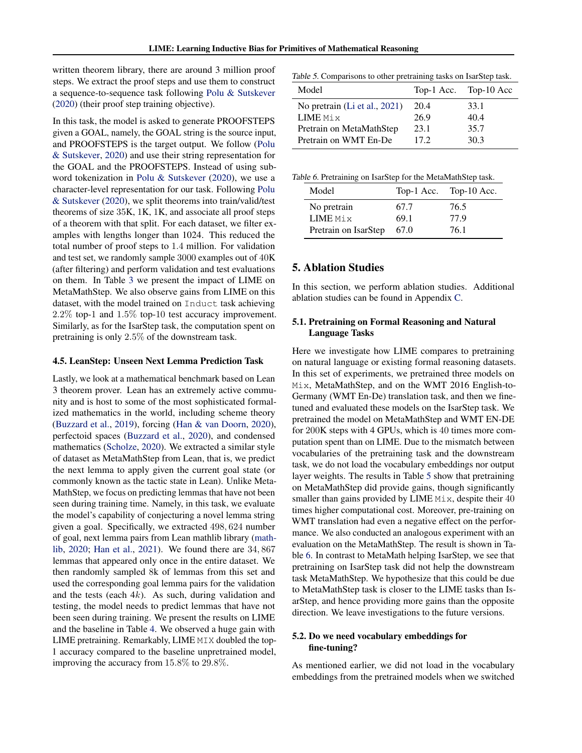written theorem library, there are around 3 million proof steps. We extract the proof steps and use them to construct a sequence-to-sequence task following [Polu & Sutskever](#page-10-0) [\(2020\)](#page-10-0) (their proof step training objective).

In this task, the model is asked to generate PROOFSTEPS given a GOAL, namely, the GOAL string is the source input, and PROOFSTEPS is the target output. We follow [\(Polu](#page-10-0) [& Sutskever,](#page-10-0) [2020\)](#page-10-0) and use their string representation for the GOAL and the PROOFSTEPS. Instead of using subword tokenization in [Polu & Sutskever](#page-10-0) [\(2020\)](#page-10-0), we use a character-level representation for our task. Following [Polu](#page-10-0) [& Sutskever](#page-10-0) [\(2020\)](#page-10-0), we split theorems into train/valid/test theorems of size 35K, 1K, 1K, and associate all proof steps of a theorem with that split. For each dataset, we filter examples with lengths longer than 1024. This reduced the total number of proof steps to 1.4 million. For validation and test set, we randomly sample 3000 examples out of 40K (after filtering) and perform validation and test evaluations on them. In Table [3](#page-5-0) we present the impact of LIME on MetaMathStep. We also observe gains from LIME on this dataset, with the model trained on Induct task achieving 2.2% top-1 and 1.5% top-10 test accuracy improvement. Similarly, as for the IsarStep task, the computation spent on pretraining is only 2.5% of the downstream task.

#### 4.5. LeanStep: Unseen Next Lemma Prediction Task

Lastly, we look at a mathematical benchmark based on Lean 3 theorem prover. Lean has an extremely active community and is host to some of the most sophisticated formalized mathematics in the world, including scheme theory [\(Buzzard et al.,](#page-8-0) [2019\)](#page-8-0), forcing [\(Han & van Doorn,](#page-8-0) [2020\)](#page-8-0), perfectoid spaces [\(Buzzard et al.,](#page-8-0) [2020\)](#page-8-0), and condensed mathematics [\(Scholze,](#page-10-0) [2020\)](#page-10-0). We extracted a similar style of dataset as MetaMathStep from Lean, that is, we predict the next lemma to apply given the current goal state (or commonly known as the tactic state in Lean). Unlike Meta-MathStep, we focus on predicting lemmas that have not been seen during training time. Namely, in this task, we evaluate the model's capability of conjecturing a novel lemma string given a goal. Specifically, we extracted 498, 624 number of goal, next lemma pairs from Lean mathlib library [\(math](#page-9-0)[lib,](#page-9-0) [2020;](#page-9-0) [Han et al.,](#page-8-0) [2021\)](#page-8-0). We found there are 34, 867 lemmas that appeared only once in the entire dataset. We then randomly sampled 8k of lemmas from this set and used the corresponding goal lemma pairs for the validation and the tests (each  $4k$ ). As such, during validation and testing, the model needs to predict lemmas that have not been seen during training. We present the results on LIME and the baseline in Table [4.](#page-5-0) We observed a huge gain with LIME pretraining. Remarkably, LIME MIX doubled the top-1 accuracy compared to the baseline unpretrained model, improving the accuracy from 15.8% to 29.8%.

Table 5. Comparisons to other pretraining tasks on IsarStep task.

| Model                         |      | Top-1 Acc. Top-10 Acc |
|-------------------------------|------|-----------------------|
| No pretrain (Li et al., 2021) | 20.4 | 33.1                  |
| LIME Mix                      | 26.9 | 40.4                  |
| Pretrain on MetaMathStep      | 23.1 | 35.7                  |
| Pretrain on WMT En-De         | 17.2 | 30.3                  |

|  | Table 6. Pretraining on IsarStep for the MetaMathStep task. |  |
|--|-------------------------------------------------------------|--|
|  |                                                             |  |

| Model                | Top-1 Acc. | Top-10 Acc. |
|----------------------|------------|-------------|
| No pretrain          | 67.7       | 76.5        |
| <b>LIME</b> Mix      | 69.1       | 77.9        |
| Pretrain on IsarStep | 67.0       | 76.1        |

### 5. Ablation Studies

In this section, we perform ablation studies. Additional ablation studies can be found in Appendix [C.](#page-13-0)

### 5.1. Pretraining on Formal Reasoning and Natural Language Tasks

Here we investigate how LIME compares to pretraining on natural language or existing formal reasoning datasets. In this set of experiments, we pretrained three models on Mix, MetaMathStep, and on the WMT 2016 English-to-Germany (WMT En-De) translation task, and then we finetuned and evaluated these models on the IsarStep task. We pretrained the model on MetaMathStep and WMT EN-DE for 200K steps with 4 GPUs, which is 40 times more computation spent than on LIME. Due to the mismatch between vocabularies of the pretraining task and the downstream task, we do not load the vocabulary embeddings nor output layer weights. The results in Table 5 show that pretraining on MetaMathStep did provide gains, though significantly smaller than gains provided by LIME Mix, despite their 40 times higher computational cost. Moreover, pre-training on WMT translation had even a negative effect on the performance. We also conducted an analogous experiment with an evaluation on the MetaMathStep. The result is shown in Table 6. In contrast to MetaMath helping IsarStep, we see that pretraining on IsarStep task did not help the downstream task MetaMathStep. We hypothesize that this could be due to MetaMathStep task is closer to the LIME tasks than IsarStep, and hence providing more gains than the opposite direction. We leave investigations to the future versions.

### 5.2. Do we need vocabulary embeddings for fine-tuning?

As mentioned earlier, we did not load in the vocabulary embeddings from the pretrained models when we switched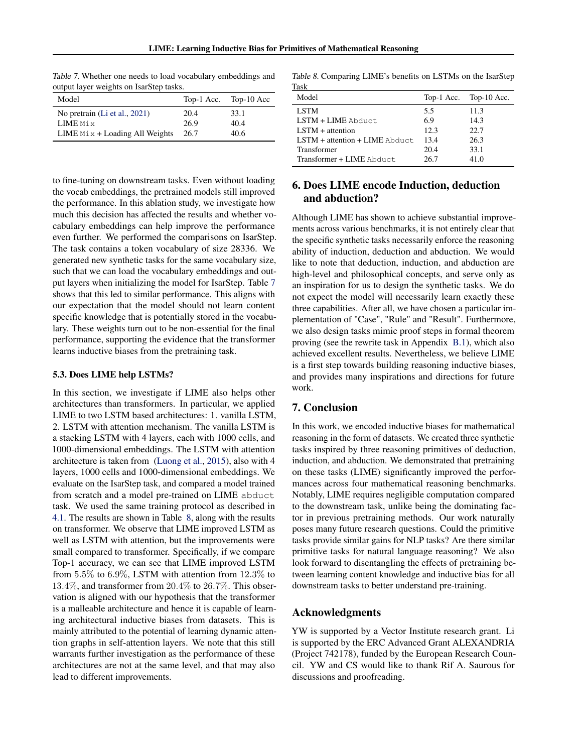| $\frac{1}{2}$                    |      |                       |
|----------------------------------|------|-----------------------|
| Model                            |      | Top-1 Acc. Top-10 Acc |
| No pretrain (Li et al., 2021)    | 20.4 | 33.1                  |
| LIME Mix                         | 26.9 | 40.4                  |
| LIME $Mix +$ Loading All Weights | 26.7 | 40.6                  |

Table 7. Whether one needs to load vocabulary embeddings and output layer weights on IsarStep tasks.

to fine-tuning on downstream tasks. Even without loading the vocab embeddings, the pretrained models still improved the performance. In this ablation study, we investigate how much this decision has affected the results and whether vocabulary embeddings can help improve the performance even further. We performed the comparisons on IsarStep. The task contains a token vocabulary of size 28336. We generated new synthetic tasks for the same vocabulary size, such that we can load the vocabulary embeddings and output layers when initializing the model for IsarStep. Table 7 shows that this led to similar performance. This aligns with our expectation that the model should not learn content specific knowledge that is potentially stored in the vocabulary. These weights turn out to be non-essential for the final performance, supporting the evidence that the transformer learns inductive biases from the pretraining task.

#### 5.3. Does LIME help LSTMs?

In this section, we investigate if LIME also helps other architectures than transformers. In particular, we applied LIME to two LSTM based architectures: 1. vanilla LSTM, 2. LSTM with attention mechanism. The vanilla LSTM is a stacking LSTM with 4 layers, each with 1000 cells, and 1000-dimensional embeddings. The LSTM with attention architecture is taken from [\(Luong et al.,](#page-9-0) [2015\)](#page-9-0), also with 4 layers, 1000 cells and 1000-dimensional embeddings. We evaluate on the IsarStep task, and compared a model trained from scratch and a model pre-trained on LIME abduct task. We used the same training protocol as described in [4.1.](#page-4-0) The results are shown in Table 8, along with the results on transformer. We observe that LIME improved LSTM as well as LSTM with attention, but the improvements were small compared to transformer. Specifically, if we compare Top-1 accuracy, we can see that LIME improved LSTM from 5.5% to 6.9%, LSTM with attention from 12.3% to 13.4%, and transformer from 20.4% to 26.7%. This observation is aligned with our hypothesis that the transformer is a malleable architecture and hence it is capable of learning architectural inductive biases from datasets. This is mainly attributed to the potential of learning dynamic attention graphs in self-attention layers. We note that this still warrants further investigation as the performance of these architectures are not at the same level, and that may also lead to different improvements.

Table 8. Comparing LIME's benefits on LSTMs on the IsarStep Task

| Model                              |      | Top-1 Acc. Top-10 Acc. |
|------------------------------------|------|------------------------|
| <b>LSTM</b>                        | 5.5  | 11.3                   |
| $LSTM + LIME$ Abduct.              | 6.9  | 14.3                   |
| $LSTM + attention$                 | 12.3 | 22.7                   |
| $LSTM + attention + LIME$ $Abduct$ | 13.4 | 26.3                   |
| Transformer                        | 20.4 | 33.1                   |
| Transformer + LIME Abduct          | 26.7 | 41.0                   |

## 6. Does LIME encode Induction, deduction and abduction?

Although LIME has shown to achieve substantial improvements across various benchmarks, it is not entirely clear that the specific synthetic tasks necessarily enforce the reasoning ability of induction, deduction and abduction. We would like to note that deduction, induction, and abduction are high-level and philosophical concepts, and serve only as an inspiration for us to design the synthetic tasks. We do not expect the model will necessarily learn exactly these three capabilities. After all, we have chosen a particular implementation of "Case", "Rule" and "Result". Furthermore, we also design tasks mimic proof steps in formal theorem proving (see the rewrite task in Appendix [B.1\)](#page-12-0), which also achieved excellent results. Nevertheless, we believe LIME is a first step towards building reasoning inductive biases, and provides many inspirations and directions for future work.

## 7. Conclusion

In this work, we encoded inductive biases for mathematical reasoning in the form of datasets. We created three synthetic tasks inspired by three reasoning primitives of deduction, induction, and abduction. We demonstrated that pretraining on these tasks (LIME) significantly improved the performances across four mathematical reasoning benchmarks. Notably, LIME requires negligible computation compared to the downstream task, unlike being the dominating factor in previous pretraining methods. Our work naturally poses many future research questions. Could the primitive tasks provide similar gains for NLP tasks? Are there similar primitive tasks for natural language reasoning? We also look forward to disentangling the effects of pretraining between learning content knowledge and inductive bias for all downstream tasks to better understand pre-training.

#### Acknowledgments

YW is supported by a Vector Institute research grant. Li is supported by the ERC Advanced Grant ALEXANDRIA (Project 742178), funded by the European Research Council. YW and CS would like to thank Rif A. Saurous for discussions and proofreading.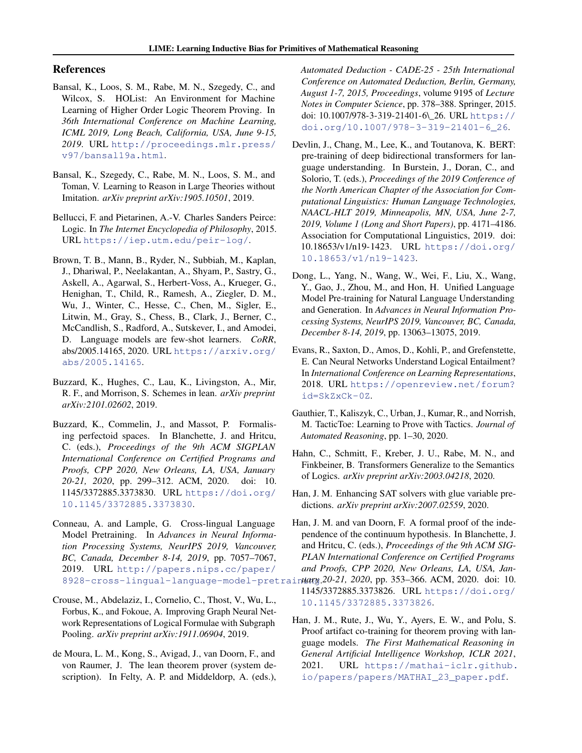### <span id="page-8-0"></span>References

- Bansal, K., Loos, S. M., Rabe, M. N., Szegedy, C., and Wilcox, S. HOList: An Environment for Machine Learning of Higher Order Logic Theorem Proving. In *36th International Conference on Machine Learning, ICML 2019, Long Beach, California, USA, June 9-15, 2019*. URL [http://proceedings.mlr.press/](http://proceedings.mlr.press/v97/bansal19a.html) [v97/bansal19a.html](http://proceedings.mlr.press/v97/bansal19a.html).
- Bansal, K., Szegedy, C., Rabe, M. N., Loos, S. M., and Toman, V. Learning to Reason in Large Theories without Imitation. *arXiv preprint arXiv:1905.10501*, 2019.
- Bellucci, F. and Pietarinen, A.-V. Charles Sanders Peirce: Logic. In *The Internet Encyclopedia of Philosophy*, 2015. URL <https://iep.utm.edu/peir-log/>.
- Brown, T. B., Mann, B., Ryder, N., Subbiah, M., Kaplan, J., Dhariwal, P., Neelakantan, A., Shyam, P., Sastry, G., Askell, A., Agarwal, S., Herbert-Voss, A., Krueger, G., Henighan, T., Child, R., Ramesh, A., Ziegler, D. M., Wu, J., Winter, C., Hesse, C., Chen, M., Sigler, E., Litwin, M., Gray, S., Chess, B., Clark, J., Berner, C., McCandlish, S., Radford, A., Sutskever, I., and Amodei, D. Language models are few-shot learners. *CoRR*, abs/2005.14165, 2020. URL [https://arxiv.org/](https://arxiv.org/abs/2005.14165) [abs/2005.14165](https://arxiv.org/abs/2005.14165).
- Buzzard, K., Hughes, C., Lau, K., Livingston, A., Mir, R. F., and Morrison, S. Schemes in lean. *arXiv preprint arXiv:2101.02602*, 2019.
- Buzzard, K., Commelin, J., and Massot, P. Formalising perfectoid spaces. In Blanchette, J. and Hritcu, C. (eds.), *Proceedings of the 9th ACM SIGPLAN International Conference on Certified Programs and Proofs, CPP 2020, New Orleans, LA, USA, January 20-21, 2020*, pp. 299–312. ACM, 2020. doi: 10. 1145/3372885.3373830. URL [https://doi.org/](https://doi.org/10.1145/3372885.3373830) [10.1145/3372885.3373830](https://doi.org/10.1145/3372885.3373830).
- Conneau, A. and Lample, G. Cross-lingual Language Model Pretraining. In *Advances in Neural Information Processing Systems, NeurIPS 2019, Vancouver, BC, Canada, December 8-14, 2019*, pp. 7057–7067, 2019. URL [http://papers.nips.cc/paper/](http://papers.nips.cc/paper/8928-cross-lingual-language-model-pretraining)
- Crouse, M., Abdelaziz, I., Cornelio, C., Thost, V., Wu, L., Forbus, K., and Fokoue, A. Improving Graph Neural Network Representations of Logical Formulae with Subgraph Pooling. *arXiv preprint arXiv:1911.06904*, 2019.
- de Moura, L. M., Kong, S., Avigad, J., van Doorn, F., and von Raumer, J. The lean theorem prover (system description). In Felty, A. P. and Middeldorp, A. (eds.),

*Automated Deduction - CADE-25 - 25th International Conference on Automated Deduction, Berlin, Germany, August 1-7, 2015, Proceedings*, volume 9195 of *Lecture Notes in Computer Science*, pp. 378–388. Springer, 2015. doi: 10.1007/978-3-319-21401-6\\_26. URL [https://](https://doi.org/10.1007/978-3-319-21401-6_26) [doi.org/10.1007/978-3-319-21401-6\\_26](https://doi.org/10.1007/978-3-319-21401-6_26).

- Devlin, J., Chang, M., Lee, K., and Toutanova, K. BERT: pre-training of deep bidirectional transformers for language understanding. In Burstein, J., Doran, C., and Solorio, T. (eds.), *Proceedings of the 2019 Conference of the North American Chapter of the Association for Computational Linguistics: Human Language Technologies, NAACL-HLT 2019, Minneapolis, MN, USA, June 2-7, 2019, Volume 1 (Long and Short Papers)*, pp. 4171–4186. Association for Computational Linguistics, 2019. doi: 10.18653/v1/n19-1423. URL [https://doi.org/](https://doi.org/10.18653/v1/n19-1423) [10.18653/v1/n19-1423](https://doi.org/10.18653/v1/n19-1423).
- Dong, L., Yang, N., Wang, W., Wei, F., Liu, X., Wang, Y., Gao, J., Zhou, M., and Hon, H. Unified Language Model Pre-training for Natural Language Understanding and Generation. In *Advances in Neural Information Processing Systems, NeurIPS 2019, Vancouver, BC, Canada, December 8-14, 2019*, pp. 13063–13075, 2019.
- Evans, R., Saxton, D., Amos, D., Kohli, P., and Grefenstette, E. Can Neural Networks Understand Logical Entailment? In *International Conference on Learning Representations*, 2018. URL [https://openreview.net/forum?](https://openreview.net/forum?id=SkZxCk-0Z) [id=SkZxCk-0Z](https://openreview.net/forum?id=SkZxCk-0Z).
- Gauthier, T., Kaliszyk, C., Urban, J., Kumar, R., and Norrish, M. TacticToe: Learning to Prove with Tactics. *Journal of Automated Reasoning*, pp. 1–30, 2020.
- Hahn, C., Schmitt, F., Kreber, J. U., Rabe, M. N., and Finkbeiner, B. Transformers Generalize to the Semantics of Logics. *arXiv preprint arXiv:2003.04218*, 2020.
- Han, J. M. Enhancing SAT solvers with glue variable predictions. *arXiv preprint arXiv:2007.02559*, 2020.
- 8928-cross-lingual-language-model-pretrainuang. 20-21, 2020, pp. 353-366. ACM, 2020. doi: 10. Han, J. M. and van Doorn, F. A formal proof of the independence of the continuum hypothesis. In Blanchette, J. and Hritcu, C. (eds.), *Proceedings of the 9th ACM SIG-PLAN International Conference on Certified Programs and Proofs, CPP 2020, New Orleans, LA, USA, Jan-*1145/3372885.3373826. URL [https://doi.org/](https://doi.org/10.1145/3372885.3373826) [10.1145/3372885.3373826](https://doi.org/10.1145/3372885.3373826).
	- Han, J. M., Rute, J., Wu, Y., Ayers, E. W., and Polu, S. Proof artifact co-training for theorem proving with language models. *The First Mathematical Reasoning in General Artificial Intelligence Workshop, ICLR 2021*, 2021. URL [https://mathai-iclr.github.](https://mathai-iclr.github.io/papers/papers/MATHAI_23_paper.pdf) [io/papers/papers/MATHAI\\_23\\_paper.pdf](https://mathai-iclr.github.io/papers/papers/MATHAI_23_paper.pdf).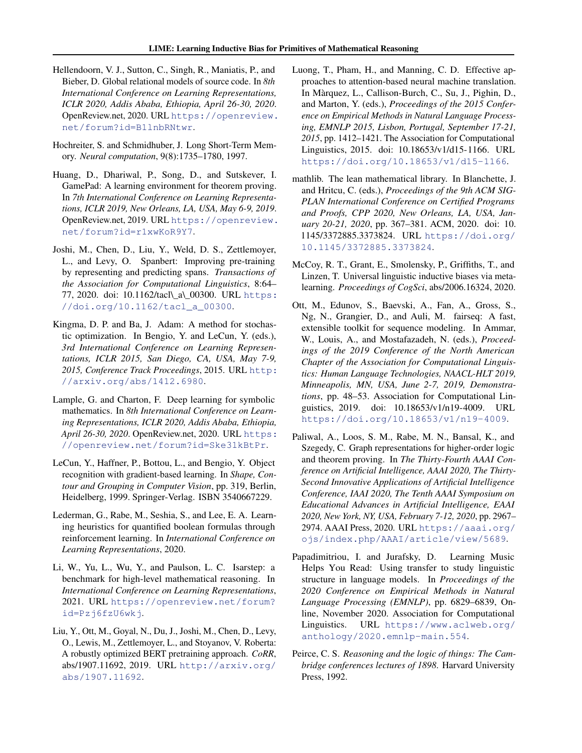- <span id="page-9-0"></span>Hellendoorn, V. J., Sutton, C., Singh, R., Maniatis, P., and Bieber, D. Global relational models of source code. In *8th International Conference on Learning Representations, ICLR 2020, Addis Ababa, Ethiopia, April 26-30, 2020*. OpenReview.net, 2020. URL [https://openreview.](https://openreview.net/forum?id=B1lnbRNtwr) [net/forum?id=B1lnbRNtwr](https://openreview.net/forum?id=B1lnbRNtwr).
- Hochreiter, S. and Schmidhuber, J. Long Short-Term Memory. *Neural computation*, 9(8):1735–1780, 1997.
- Huang, D., Dhariwal, P., Song, D., and Sutskever, I. GamePad: A learning environment for theorem proving. In *7th International Conference on Learning Representations, ICLR 2019, New Orleans, LA, USA, May 6-9, 2019*. OpenReview.net, 2019. URL [https://openreview.](https://openreview.net/forum?id=r1xwKoR9Y7) [net/forum?id=r1xwKoR9Y7](https://openreview.net/forum?id=r1xwKoR9Y7).
- Joshi, M., Chen, D., Liu, Y., Weld, D. S., Zettlemoyer, L., and Levy, O. Spanbert: Improving pre-training by representing and predicting spans. *Transactions of the Association for Computational Linguistics*, 8:64– 77, 2020. doi: 10.1162/tacl\\_a\\_00300. URL [https:](https://doi.org/10.1162/tacl_a_00300) [//doi.org/10.1162/tacl\\_a\\_00300](https://doi.org/10.1162/tacl_a_00300).
- Kingma, D. P. and Ba, J. Adam: A method for stochastic optimization. In Bengio, Y. and LeCun, Y. (eds.), *3rd International Conference on Learning Representations, ICLR 2015, San Diego, CA, USA, May 7-9, 2015, Conference Track Proceedings*, 2015. URL [http:](http://arxiv.org/abs/1412.6980) [//arxiv.org/abs/1412.6980](http://arxiv.org/abs/1412.6980).
- Lample, G. and Charton, F. Deep learning for symbolic mathematics. In *8th International Conference on Learning Representations, ICLR 2020, Addis Ababa, Ethiopia, April 26-30, 2020*. OpenReview.net, 2020. URL [https:](https://openreview.net/forum?id=Ske31kBtPr) [//openreview.net/forum?id=Ske31kBtPr](https://openreview.net/forum?id=Ske31kBtPr).
- LeCun, Y., Haffner, P., Bottou, L., and Bengio, Y. Object recognition with gradient-based learning. In *Shape, Contour and Grouping in Computer Vision*, pp. 319, Berlin, Heidelberg, 1999. Springer-Verlag. ISBN 3540667229.
- Lederman, G., Rabe, M., Seshia, S., and Lee, E. A. Learning heuristics for quantified boolean formulas through reinforcement learning. In *International Conference on Learning Representations*, 2020.
- Li, W., Yu, L., Wu, Y., and Paulson, L. C. Isarstep: a benchmark for high-level mathematical reasoning. In *International Conference on Learning Representations*, 2021. URL [https://openreview.net/forum?](https://openreview.net/forum?id=Pzj6fzU6wkj) [id=Pzj6fzU6wkj](https://openreview.net/forum?id=Pzj6fzU6wkj).
- Liu, Y., Ott, M., Goyal, N., Du, J., Joshi, M., Chen, D., Levy, O., Lewis, M., Zettlemoyer, L., and Stoyanov, V. Roberta: A robustly optimized BERT pretraining approach. *CoRR*, abs/1907.11692, 2019. URL [http://arxiv.org/](http://arxiv.org/abs/1907.11692) [abs/1907.11692](http://arxiv.org/abs/1907.11692).
- Luong, T., Pham, H., and Manning, C. D. Effective approaches to attention-based neural machine translation. In Màrquez, L., Callison-Burch, C., Su, J., Pighin, D., and Marton, Y. (eds.), *Proceedings of the 2015 Conference on Empirical Methods in Natural Language Processing, EMNLP 2015, Lisbon, Portugal, September 17-21, 2015*, pp. 1412–1421. The Association for Computational Linguistics, 2015. doi: 10.18653/v1/d15-1166. URL <https://doi.org/10.18653/v1/d15-1166>.
- mathlib. The lean mathematical library. In Blanchette, J. and Hritcu, C. (eds.), *Proceedings of the 9th ACM SIG-PLAN International Conference on Certified Programs and Proofs, CPP 2020, New Orleans, LA, USA, January 20-21, 2020*, pp. 367–381. ACM, 2020. doi: 10. 1145/3372885.3373824. URL [https://doi.org/](https://doi.org/10.1145/3372885.3373824) [10.1145/3372885.3373824](https://doi.org/10.1145/3372885.3373824).
- McCoy, R. T., Grant, E., Smolensky, P., Griffiths, T., and Linzen, T. Universal linguistic inductive biases via metalearning. *Proceedings of CogSci*, abs/2006.16324, 2020.
- Ott, M., Edunov, S., Baevski, A., Fan, A., Gross, S., Ng, N., Grangier, D., and Auli, M. fairseq: A fast, extensible toolkit for sequence modeling. In Ammar, W., Louis, A., and Mostafazadeh, N. (eds.), *Proceedings of the 2019 Conference of the North American Chapter of the Association for Computational Linguistics: Human Language Technologies, NAACL-HLT 2019, Minneapolis, MN, USA, June 2-7, 2019, Demonstrations*, pp. 48–53. Association for Computational Linguistics, 2019. doi: 10.18653/v1/n19-4009. URL <https://doi.org/10.18653/v1/n19-4009>.
- Paliwal, A., Loos, S. M., Rabe, M. N., Bansal, K., and Szegedy, C. Graph representations for higher-order logic and theorem proving. In *The Thirty-Fourth AAAI Conference on Artificial Intelligence, AAAI 2020, The Thirty-Second Innovative Applications of Artificial Intelligence Conference, IAAI 2020, The Tenth AAAI Symposium on Educational Advances in Artificial Intelligence, EAAI 2020, New York, NY, USA, February 7-12, 2020*, pp. 2967– 2974. AAAI Press, 2020. URL [https://aaai.org/](https://aaai.org/ojs/index.php/AAAI/article/view/5689) [ojs/index.php/AAAI/article/view/5689](https://aaai.org/ojs/index.php/AAAI/article/view/5689).
- Papadimitriou, I. and Jurafsky, D. Learning Music Helps You Read: Using transfer to study linguistic structure in language models. In *Proceedings of the 2020 Conference on Empirical Methods in Natural Language Processing (EMNLP)*, pp. 6829–6839, Online, November 2020. Association for Computational Linguistics. URL [https://www.aclweb.org/](https://www.aclweb.org/anthology/2020.emnlp-main.554) [anthology/2020.emnlp-main.554](https://www.aclweb.org/anthology/2020.emnlp-main.554).
- Peirce, C. S. *Reasoning and the logic of things: The Cambridge conferences lectures of 1898*. Harvard University Press, 1992.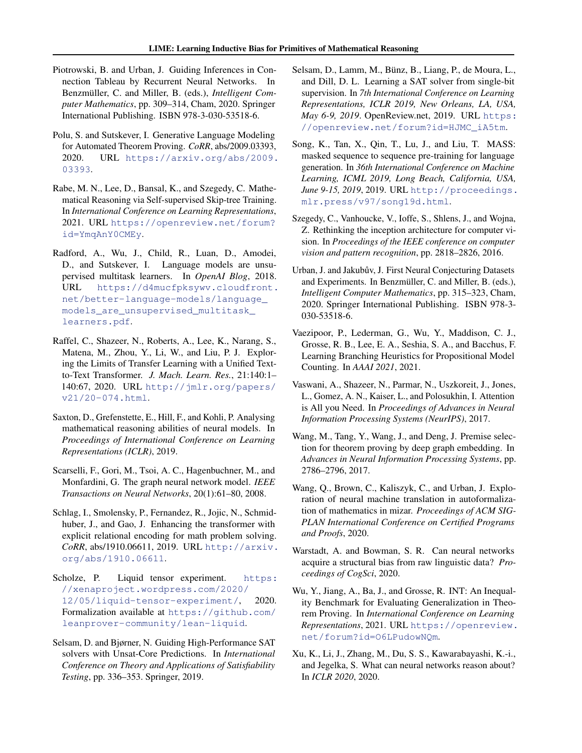- <span id="page-10-0"></span>Piotrowski, B. and Urban, J. Guiding Inferences in Connection Tableau by Recurrent Neural Networks. In Benzmüller, C. and Miller, B. (eds.), *Intelligent Computer Mathematics*, pp. 309–314, Cham, 2020. Springer International Publishing. ISBN 978-3-030-53518-6.
- Polu, S. and Sutskever, I. Generative Language Modeling for Automated Theorem Proving. *CoRR*, abs/2009.03393, 2020. URL [https://arxiv.org/abs/2009.](https://arxiv.org/abs/2009.03393) [03393](https://arxiv.org/abs/2009.03393).
- Rabe, M. N., Lee, D., Bansal, K., and Szegedy, C. Mathematical Reasoning via Self-supervised Skip-tree Training. In *International Conference on Learning Representations*, 2021. URL [https://openreview.net/forum?](https://openreview.net/forum?id=YmqAnY0CMEy) [id=YmqAnY0CMEy](https://openreview.net/forum?id=YmqAnY0CMEy).
- Radford, A., Wu, J., Child, R., Luan, D., Amodei, D., and Sutskever, I. Language models are unsupervised multitask learners. In *OpenAI Blog*, 2018. URL [https://d4mucfpksywv.cloudfront.](https://d4mucfpksywv.cloudfront.net/better-language-models/language_models_are_unsupervised_multitask_learners.pdf) [net/better-language-models/language\\_](https://d4mucfpksywv.cloudfront.net/better-language-models/language_models_are_unsupervised_multitask_learners.pdf) [models\\_are\\_unsupervised\\_multitask\\_](https://d4mucfpksywv.cloudfront.net/better-language-models/language_models_are_unsupervised_multitask_learners.pdf) [learners.pdf](https://d4mucfpksywv.cloudfront.net/better-language-models/language_models_are_unsupervised_multitask_learners.pdf).
- Raffel, C., Shazeer, N., Roberts, A., Lee, K., Narang, S., Matena, M., Zhou, Y., Li, W., and Liu, P. J. Exploring the Limits of Transfer Learning with a Unified Textto-Text Transformer. *J. Mach. Learn. Res.*, 21:140:1– 140:67, 2020. URL [http://jmlr.org/papers/](http://jmlr.org/papers/v21/20-074.html) [v21/20-074.html](http://jmlr.org/papers/v21/20-074.html).
- Saxton, D., Grefenstette, E., Hill, F., and Kohli, P. Analysing mathematical reasoning abilities of neural models. In *Proceedings of International Conference on Learning Representations (ICLR)*, 2019.
- Scarselli, F., Gori, M., Tsoi, A. C., Hagenbuchner, M., and Monfardini, G. The graph neural network model. *IEEE Transactions on Neural Networks*, 20(1):61–80, 2008.
- Schlag, I., Smolensky, P., Fernandez, R., Jojic, N., Schmidhuber, J., and Gao, J. Enhancing the transformer with explicit relational encoding for math problem solving. *CoRR*, abs/1910.06611, 2019. URL [http://arxiv.](http://arxiv.org/abs/1910.06611) [org/abs/1910.06611](http://arxiv.org/abs/1910.06611).
- Scholze, P. Liquid tensor experiment. [https:](https://xenaproject.wordpress.com/2020/12/05/liquid-tensor-experiment/) [//xenaproject.wordpress.com/2020/](https://xenaproject.wordpress.com/2020/12/05/liquid-tensor-experiment/) [12/05/liquid-tensor-experiment/](https://xenaproject.wordpress.com/2020/12/05/liquid-tensor-experiment/), 2020. Formalization available at [https://github.com/](https://github.com/leanprover-community/lean-liquid) [leanprover-community/lean-liquid](https://github.com/leanprover-community/lean-liquid).
- Selsam, D. and Bjørner, N. Guiding High-Performance SAT solvers with Unsat-Core Predictions. In *International Conference on Theory and Applications of Satisfiability Testing*, pp. 336–353. Springer, 2019.
- Selsam, D., Lamm, M., Bünz, B., Liang, P., de Moura, L., and Dill, D. L. Learning a SAT solver from single-bit supervision. In *7th International Conference on Learning Representations, ICLR 2019, New Orleans, LA, USA, May 6-9, 2019*. OpenReview.net, 2019. URL [https:](https://openreview.net/forum?id=HJMC_iA5tm) [//openreview.net/forum?id=HJMC\\_iA5tm](https://openreview.net/forum?id=HJMC_iA5tm).
- Song, K., Tan, X., Qin, T., Lu, J., and Liu, T. MASS: masked sequence to sequence pre-training for language generation. In *36th International Conference on Machine Learning, ICML 2019, Long Beach, California, USA, June 9-15, 2019*, 2019. URL [http://proceedings.](http://proceedings.mlr.press/v97/song19d.html) [mlr.press/v97/song19d.html](http://proceedings.mlr.press/v97/song19d.html).
- Szegedy, C., Vanhoucke, V., Ioffe, S., Shlens, J., and Wojna, Z. Rethinking the inception architecture for computer vision. In *Proceedings of the IEEE conference on computer vision and pattern recognition*, pp. 2818–2826, 2016.
- Urban, J. and Jakubův, J. First Neural Conjecturing Datasets and Experiments. In Benzmüller, C. and Miller, B. (eds.), *Intelligent Computer Mathematics*, pp. 315–323, Cham, 2020. Springer International Publishing. ISBN 978-3- 030-53518-6.
- Vaezipoor, P., Lederman, G., Wu, Y., Maddison, C. J., Grosse, R. B., Lee, E. A., Seshia, S. A., and Bacchus, F. Learning Branching Heuristics for Propositional Model Counting. In *AAAI 2021*, 2021.
- Vaswani, A., Shazeer, N., Parmar, N., Uszkoreit, J., Jones, L., Gomez, A. N., Kaiser, L., and Polosukhin, I. Attention is All you Need. In *Proceedings of Advances in Neural Information Processing Systems (NeurIPS)*, 2017.
- Wang, M., Tang, Y., Wang, J., and Deng, J. Premise selection for theorem proving by deep graph embedding. In *Advances in Neural Information Processing Systems*, pp. 2786–2796, 2017.
- Wang, Q., Brown, C., Kaliszyk, C., and Urban, J. Exploration of neural machine translation in autoformalization of mathematics in mizar. *Proceedings of ACM SIG-PLAN International Conference on Certified Programs and Proofs*, 2020.
- Warstadt, A. and Bowman, S. R. Can neural networks acquire a structural bias from raw linguistic data? *Proceedings of CogSci*, 2020.
- Wu, Y., Jiang, A., Ba, J., and Grosse, R. INT: An Inequality Benchmark for Evaluating Generalization in Theorem Proving. In *International Conference on Learning Representations*, 2021. URL [https://openreview.](https://openreview.net/forum?id=O6LPudowNQm) [net/forum?id=O6LPudowNQm](https://openreview.net/forum?id=O6LPudowNQm).
- Xu, K., Li, J., Zhang, M., Du, S. S., Kawarabayashi, K.-i., and Jegelka, S. What can neural networks reason about? In *ICLR 2020*, 2020.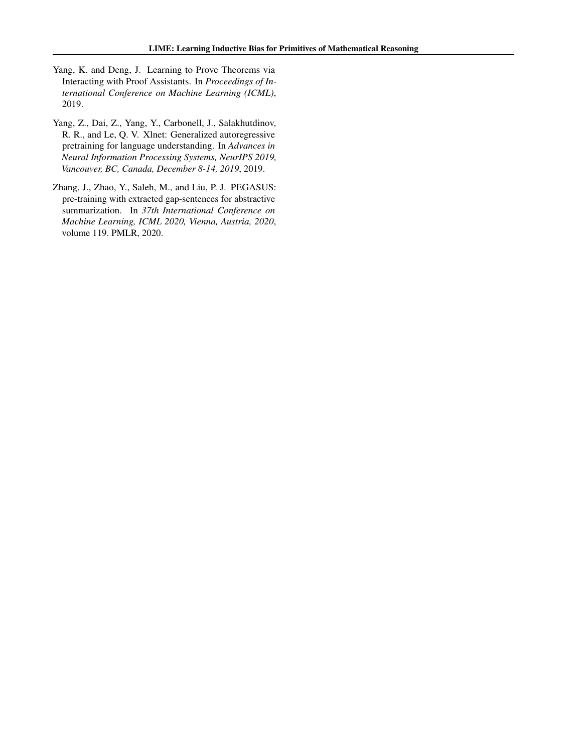- <span id="page-11-0"></span>Yang, K. and Deng, J. Learning to Prove Theorems via Interacting with Proof Assistants. In *Proceedings of International Conference on Machine Learning (ICML)*, 2019.
- Yang, Z., Dai, Z., Yang, Y., Carbonell, J., Salakhutdinov, R. R., and Le, Q. V. Xlnet: Generalized autoregressive pretraining for language understanding. In *Advances in Neural Information Processing Systems, NeurIPS 2019, Vancouver, BC, Canada, December 8-14, 2019*, 2019.
- Zhang, J., Zhao, Y., Saleh, M., and Liu, P. J. PEGASUS: pre-training with extracted gap-sentences for abstractive summarization. In *37th International Conference on Machine Learning, ICML 2020, Vienna, Austria, 2020*, volume 119. PMLR, 2020.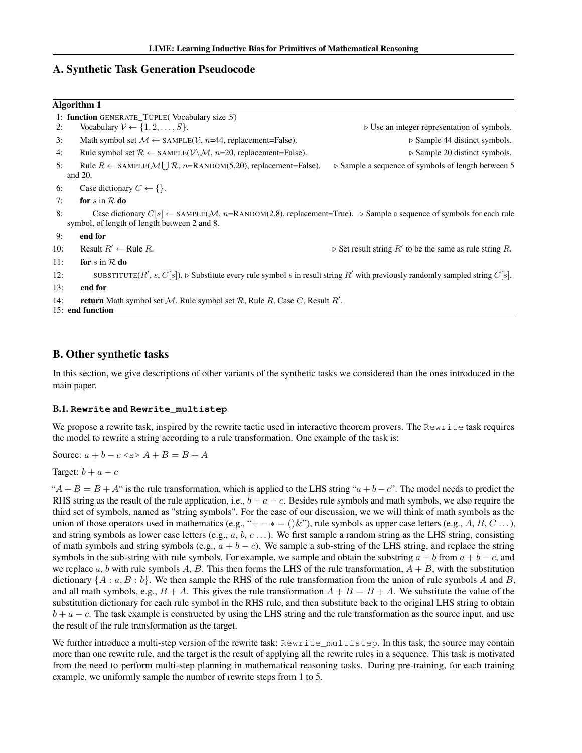## <span id="page-12-0"></span>A. Synthetic Task Generation Pseudocode

|     | Algorithm 1                                                                                                                                                                               |                                                                          |
|-----|-------------------------------------------------------------------------------------------------------------------------------------------------------------------------------------------|--------------------------------------------------------------------------|
|     | 1: function GENERATE_TUPLE(Vocabulary size $S$ )                                                                                                                                          |                                                                          |
| 2:  | Vocabulary $V \leftarrow \{1, 2, \ldots, S\}.$                                                                                                                                            | $\triangleright$ Use an integer representation of symbols.               |
| 3:  | Math symbol set $M \leftarrow$ SAMPLE(V, n=44, replacement=False).                                                                                                                        | $\triangleright$ Sample 44 distinct symbols.                             |
| 4:  | Rule symbol set $\mathcal{R} \leftarrow$ SAMPLE( $\mathcal{V} \setminus \mathcal{M}$ , n=20, replacement=False).                                                                          | $\triangleright$ Sample 20 distinct symbols.                             |
| 5:  | Rule $R \leftarrow$ SAMPLE( $M \cup R$ , n=RANDOM(5,20), replacement=False).<br>and $20$ .                                                                                                | $\triangleright$ Sample a sequence of symbols of length between 5        |
| 6:  | Case dictionary $C \leftarrow \{\}.$                                                                                                                                                      |                                                                          |
| 7:  | for s in $R$ do                                                                                                                                                                           |                                                                          |
| 8:  | Case dictionary $C[s] \leftarrow$ SAMPLE(M, n=RANDOM(2,8), replacement=True). $\triangleright$ Sample a sequence of symbols for each rule<br>symbol, of length of length between 2 and 8. |                                                                          |
| 9:  | end for                                                                                                                                                                                   |                                                                          |
| 10: | Result $R' \leftarrow$ Rule R.                                                                                                                                                            | $\triangleright$ Set result string $R'$ to be the same as rule string R. |
| 11: | for $s$ in $R$ do                                                                                                                                                                         |                                                                          |
| 12: | SUBSTITUTE( $R'$ , s, $C[s]$ ). $\triangleright$ Substitute every rule symbol s in result string $R'$ with previously randomly sampled string $C[s]$ .                                    |                                                                          |
| 13: | end for                                                                                                                                                                                   |                                                                          |
| 14: | <b>return</b> Math symbol set M, Rule symbol set R, Rule R, Case C, Result R'.<br>15: end function                                                                                        |                                                                          |
|     |                                                                                                                                                                                           |                                                                          |

## B. Other synthetic tasks

In this section, we give descriptions of other variants of the synthetic tasks we considered than the ones introduced in the main paper.

### B.1. **Rewrite** and **Rewrite\_multistep**

We propose a rewrite task, inspired by the rewrite tactic used in interactive theorem provers. The Rewrite task requires the model to rewrite a string according to a rule transformation. One example of the task is:

Source:  $a + b - c \leq s > A + B = B + A$ 

Target:  $b + a - c$ 

" $A + B = B + A$ " is the rule transformation, which is applied to the LHS string " $a + b - c$ ". The model needs to predict the RHS string as the result of the rule application, i.e.,  $b + a - c$ . Besides rule symbols and math symbols, we also require the third set of symbols, named as "string symbols". For the ease of our discussion, we we will think of math symbols as the union of those operators used in mathematics (e.g., "+ – \* = ()&"), rule symbols as upper case letters (e.g., A, B, C ...), and string symbols as lower case letters (e.g.,  $a, b, c \ldots$ ). We first sample a random string as the LHS string, consisting of math symbols and string symbols (e.g.,  $a + b - c$ ). We sample a sub-string of the LHS string, and replace the string symbols in the sub-string with rule symbols. For example, we sample and obtain the substring  $a + b$  from  $a + b - c$ , and we replace  $a, b$  with rule symbols A, B. This then forms the LHS of the rule transformation,  $A + B$ , with the substitution dictionary  $\{A : a, B : b\}$ . We then sample the RHS of the rule transformation from the union of rule symbols A and B, and all math symbols, e.g.,  $B + A$ . This gives the rule transformation  $A + B = B + A$ . We substitute the value of the substitution dictionary for each rule symbol in the RHS rule, and then substitute back to the original LHS string to obtain  $b + a - c$ . The task example is constructed by using the LHS string and the rule transformation as the source input, and use the result of the rule transformation as the target.

We further introduce a multi-step version of the rewrite task: Rewrite\_multistep. In this task, the source may contain more than one rewrite rule, and the target is the result of applying all the rewrite rules in a sequence. This task is motivated from the need to perform multi-step planning in mathematical reasoning tasks. During pre-training, for each training example, we uniformly sample the number of rewrite steps from 1 to 5.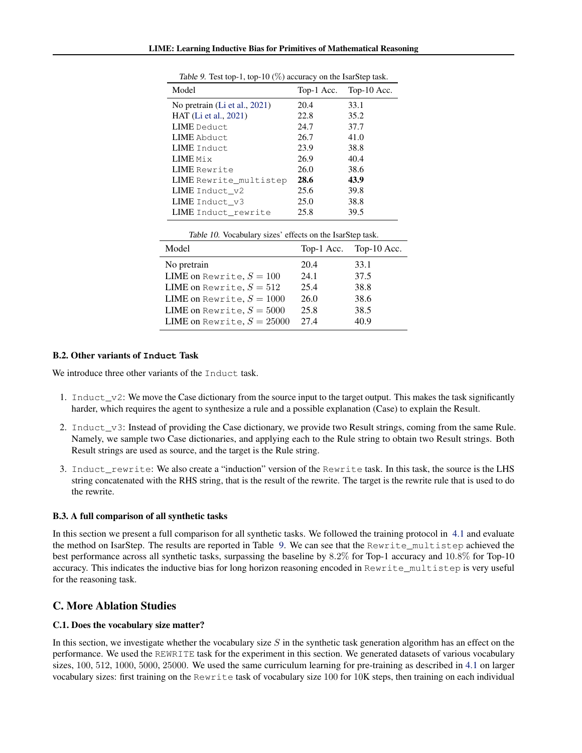| Model                         | Top-1 Acc. | Top-10 Acc. |
|-------------------------------|------------|-------------|
| No pretrain (Li et al., 2021) | 20.4       | 33.1        |
| HAT (Li et al., 2021)         | 22.8       | 35.2        |
| LIME Deduct.                  | 24.7       | 37.7        |
| <b>LIME</b> Abduct            | 26.7       | 41.0        |
| LIME Induct.                  | 23.9       | 38.8        |
| LIME Mix                      | 26.9       | 40.4        |
| LIME Rewrite                  | 26.0       | 38.6        |
| LIME Rewrite multistep        | 28.6       | 43.9        |
| LIME Induct_v2                | 25.6       | 39.8        |
| LIME Induct v3                | 25.0       | 38.8        |
| LIME Induct rewrite           | 25.8       | 39.5        |
|                               |            |             |

<span id="page-13-0"></span>Table 9. Test top-1, top-10 (%) accuracy on the IsarStep task.

| Table 10. Vocabulary sizes' effects on the IsarStep task. |  |
|-----------------------------------------------------------|--|
|-----------------------------------------------------------|--|

| Model                             |      | Top-1 Acc. Top-10 Acc. |
|-----------------------------------|------|------------------------|
| No pretrain                       | 20.4 | 33.1                   |
| <b>LIME</b> on Rewrite, $S = 100$ | 24.1 | 37.5                   |
| LIME on Rewrite, $S = 512$        | 25.4 | 38.8                   |
| LIME on Rewrite, $S = 1000$       | 26.0 | 38.6                   |
| LIME on Rewrite, $S = 5000$       | 25.8 | 38.5                   |
| LIME on Rewrite, $S = 25000$      | 27.4 | 40.9                   |

### B.2. Other variants of **Induct** Task

We introduce three other variants of the Induct task.

- 1. Induct $_v$ 2: We move the Case dictionary from the source input to the target output. This makes the task significantly harder, which requires the agent to synthesize a rule and a possible explanation (Case) to explain the Result.
- 2. Induct\_v3: Instead of providing the Case dictionary, we provide two Result strings, coming from the same Rule. Namely, we sample two Case dictionaries, and applying each to the Rule string to obtain two Result strings. Both Result strings are used as source, and the target is the Rule string.
- 3. Induct rewrite: We also create a "induction" version of the Rewrite task. In this task, the source is the LHS string concatenated with the RHS string, that is the result of the rewrite. The target is the rewrite rule that is used to do the rewrite.

### B.3. A full comparison of all synthetic tasks

In this section we present a full comparison for all synthetic tasks. We followed the training protocol in [4.1](#page-4-0) and evaluate the method on IsarStep. The results are reported in Table 9. We can see that the Rewrite\_multistep achieved the best performance across all synthetic tasks, surpassing the baseline by 8.2% for Top-1 accuracy and 10.8% for Top-10 accuracy. This indicates the inductive bias for long horizon reasoning encoded in Rewrite\_multistep is very useful for the reasoning task.

## C. More Ablation Studies

### C.1. Does the vocabulary size matter?

In this section, we investigate whether the vocabulary size  $S$  in the synthetic task generation algorithm has an effect on the performance. We used the REWRITE task for the experiment in this section. We generated datasets of various vocabulary sizes,  $100, 512, 1000, 5000, 25000$ . We used the same curriculum learning for pre-training as described in [4.1](#page-4-0) on larger vocabulary sizes: first training on the Rewrite task of vocabulary size 100 for 10K steps, then training on each individual